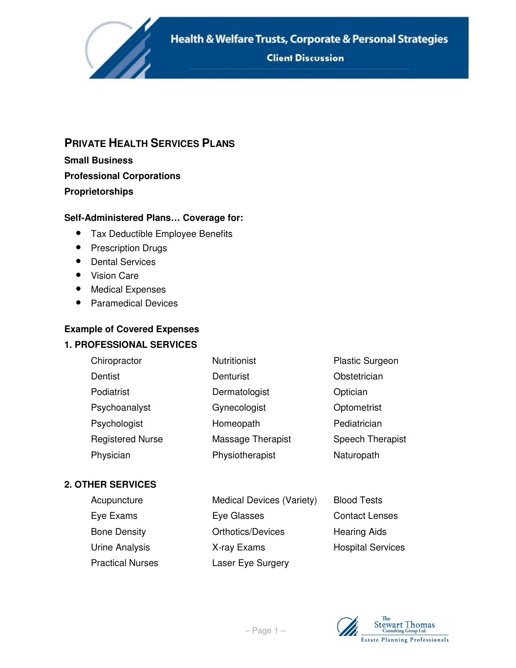Health & Welfare Trusts, Corporate & Personal Strategies

**Client Discussion** 

# **PRIVATE HEALTH SERVICES PLANS**

**Small Business Professional Corporations Proprietorships** 

**SARRING** 

# **Self-Administered Plans… Coverage for:**

- Tax Deductible Employee Benefits
- Prescription Drugs
- Dental Services
- Vision Care
- Medical Expenses
- Paramedical Devices

# **Example of Covered Expenses**

### **1. PROFESSIONAL SERVICES**

| Chiropractor            | <b>Nutritionist</b> | <b>Plastic Surgeon</b> |
|-------------------------|---------------------|------------------------|
| Dentist                 | Denturist           | Obstetrician           |
| Podiatrist              | Dermatologist       | Optician               |
| Psychoanalyst           | Gynecologist        | Optometrist            |
| Psychologist            | Homeopath           | Pediatrician           |
| <b>Registered Nurse</b> | Massage Therapist   | Speech Therapist       |
| Physician               | Physiotherapist     | Naturopath             |

#### **2. OTHER SERVICES**

| Acupuncture             | Medical Devices (Variety) | <b>Blood Tests</b>       |
|-------------------------|---------------------------|--------------------------|
| Eye Exams               | Eye Glasses               | <b>Contact Lenses</b>    |
| <b>Bone Density</b>     | <b>Orthotics/Devices</b>  | <b>Hearing Aids</b>      |
| Urine Analysis          | X-ray Exams               | <b>Hospital Services</b> |
| <b>Practical Nurses</b> | Laser Eye Surgery         |                          |

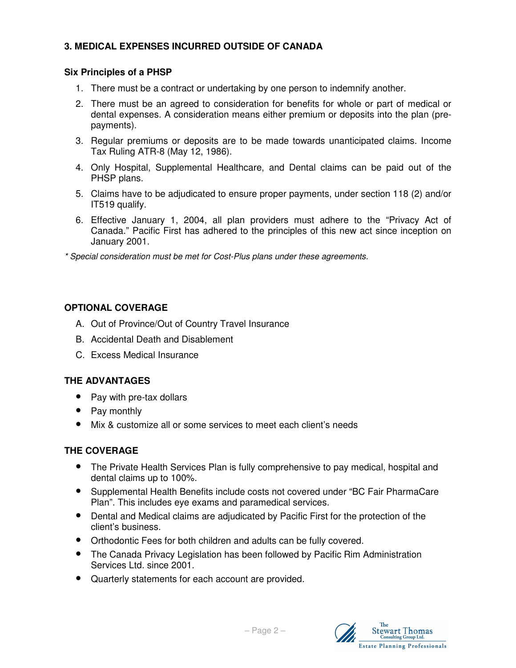# **3. MEDICAL EXPENSES INCURRED OUTSIDE OF CANADA**

### **Six Principles of a PHSP**

- 1. There must be a contract or undertaking by one person to indemnify another.
- 2. There must be an agreed to consideration for benefits for whole or part of medical or dental expenses. A consideration means either premium or deposits into the plan (prepayments).
- 3. Regular premiums or deposits are to be made towards unanticipated claims. Income Tax Ruling ATR-8 (May 12, 1986).
- 4. Only Hospital, Supplemental Healthcare, and Dental claims can be paid out of the PHSP plans.
- 5. Claims have to be adjudicated to ensure proper payments, under section 118 (2) and/or IT519 qualify.
- 6. Effective January 1, 2004, all plan providers must adhere to the "Privacy Act of Canada." Pacific First has adhered to the principles of this new act since inception on January 2001.

\* Special consideration must be met for Cost-Plus plans under these agreements.

#### **OPTIONAL COVERAGE**

- A. Out of Province/Out of Country Travel Insurance
- B. Accidental Death and Disablement
- C. Excess Medical Insurance

### **THE ADVANTAGES**

- Pay with pre-tax dollars
- Pay monthly
- Mix & customize all or some services to meet each client's needs

### **THE COVERAGE**

- The Private Health Services Plan is fully comprehensive to pay medical, hospital and dental claims up to 100%.
- Supplemental Health Benefits include costs not covered under "BC Fair PharmaCare Plan". This includes eye exams and paramedical services.
- Dental and Medical claims are adjudicated by Pacific First for the protection of the client's business.
- Orthodontic Fees for both children and adults can be fully covered.
- The Canada Privacy Legislation has been followed by Pacific Rim Administration Services Ltd. since 2001.
- Quarterly statements for each account are provided.

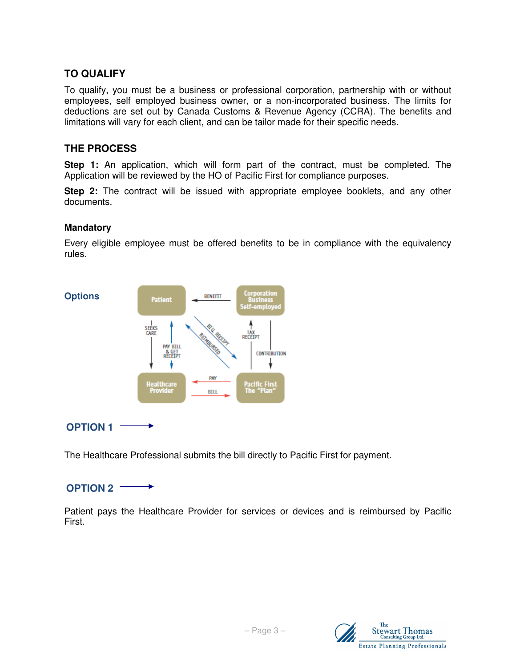# **TO QUALIFY**

To qualify, you must be a business or professional corporation, partnership with or without employees, self employed business owner, or a non-incorporated business. The limits for deductions are set out by Canada Customs & Revenue Agency (CCRA). The benefits and limitations will vary for each client, and can be tailor made for their specific needs.

## **THE PROCESS**

**Step 1:** An application, which will form part of the contract, must be completed. The Application will be reviewed by the HO of Pacific First for compliance purposes.

**Step 2:** The contract will be issued with appropriate employee booklets, and any other documents.

#### **Mandatory**

Every eligible employee must be offered benefits to be in compliance with the equivalency rules.



**OPTION 1** 

The Healthcare Professional submits the bill directly to Pacific First for payment.

#### **OPTION 2**  →

Patient pays the Healthcare Provider for services or devices and is reimbursed by Pacific First.